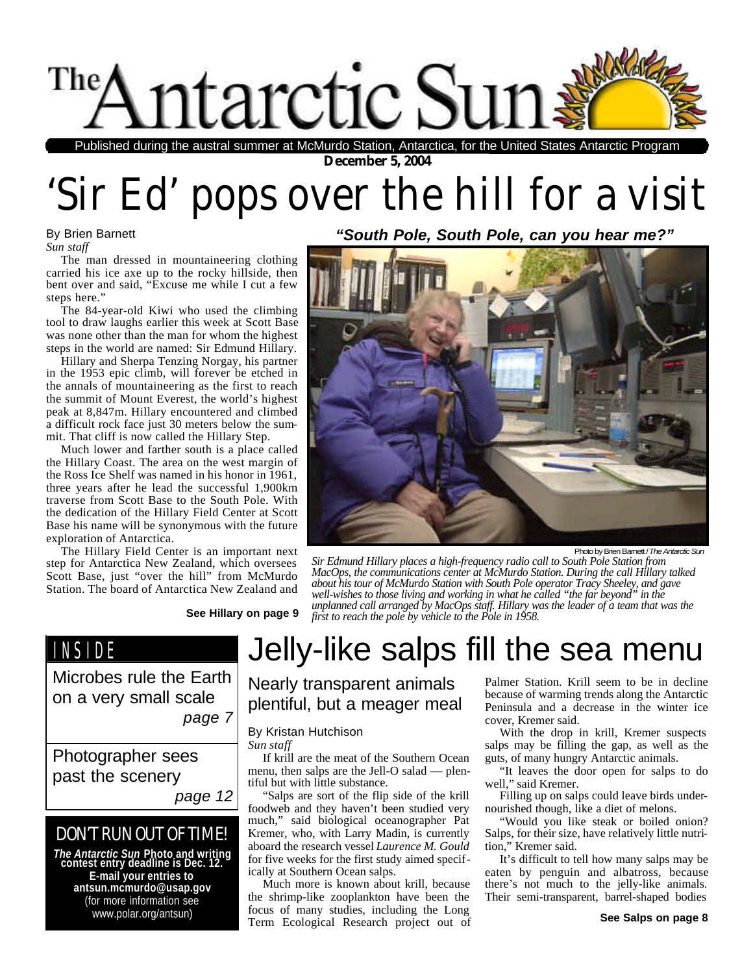

**December 5, 2004** Published during the austral summer at McMurdo Station, Antarctica, for the United States Antarctic Program

# 'Sir Ed' pops over the hill for a visit

#### By Brien Barnett *Sun staff*

The man dressed in mountaineering clothing carried his ice axe up to the rocky hillside, then bent over and said, "Excuse me while I cut a few steps here."

The 84-year-old Kiwi who used the climbing tool to draw laughs earlier this week at Scott Base was none other than the man for whom the highest steps in the world are named: Sir Edmund Hillary.

Hillary and Sherpa Tenzing Norgay, his partner in the 1953 epic climb, will forever be etched in the annals of mountaineering as the first to reach the summit of Mount Everest, the world's highest peak at 8,847m. Hillary encountered and climbed a difficult rock face just 30 meters below the summit. That cliff is now called the Hillary Step.

Much lower and farther south is a place called the Hillary Coast. The area on the west margin of the Ross Ice Shelf was named in his honor in 1961, three years after he lead the successful 1,900km traverse from Scott Base to the South Pole. With the dedication of the Hillary Field Center at Scott Base his name will be synonymous with the future exploration of Antarctica.

The Hillary Field Center is an important next step for Antarctica New Zealand, which oversees Scott Base, just "over the hill" from McMurdo Station. The board of Antarctica New Zealand and

*"South Pole, South Pole, can you hear me?"*



Photo by Brien Barnett / *The Antarctic Sun*

*Sir Edmund Hillary places a high-frequency radio call to South Pole Station from MacOps, the communications center at McMurdo Station. During the call Hillary talked about his tour of McMurdo Station with South Pole operator Tracy Sheeley, and gave well-wishes to those living and working in what he called "the far beyond" in the unplanned call arranged by MacOps staff. Hillary was the leader of a team that was the* **See Hillary on page 9** *first to reach the pole by vehicle to the Pole in 1958.*

## INSIDE

Microbes rule the Earth on a very small scale *page 7*

Photographer sees past the scenery

*page 12*

## DON'T RUN OUT OF TIME!

*The Antarctic Sun* **Photo and writing contest entry deadline is Dec. 12. E-mail your entries to antsun.mcmurdo@usap.gov** (for more information see www.polar.org/antsun)

# Jelly-like salps fill the sea menu

Nearly transparent animals plentiful, but a meager meal

#### By Kristan Hutchison

*Sun staff*

If krill are the meat of the Southern Ocean menu, then salps are the Jell-O salad — plentiful but with little substance.

"Salps are sort of the flip side of the krill foodweb and they haven't been studied very much," said biological oceanographer Pat Kremer, who, with Larry Madin, is currently aboard the research vessel *Laurence M. Gould* for five weeks for the first study aimed specifically at Southern Ocean salps.

Much more is known about krill, because the shrimp-like zooplankton have been the focus of many studies, including the Long Term Ecological Research project out of Palmer Station. Krill seem to be in decline because of warming trends along the Antarctic Peninsula and a decrease in the winter ice cover, Kremer said.

With the drop in krill, Kremer suspects salps may be filling the gap, as well as the guts, of many hungry Antarctic animals.

"It leaves the door open for salps to do well," said Kremer.

Filling up on salps could leave birds undernourished though, like a diet of melons.

"Would you like steak or boiled onion? Salps, for their size, have relatively little nutrition," Kremer said.

It's difficult to tell how many salps may be eaten by penguin and albatross, because there's not much to the jelly-like animals. Their semi-transparent, barrel-shaped bodies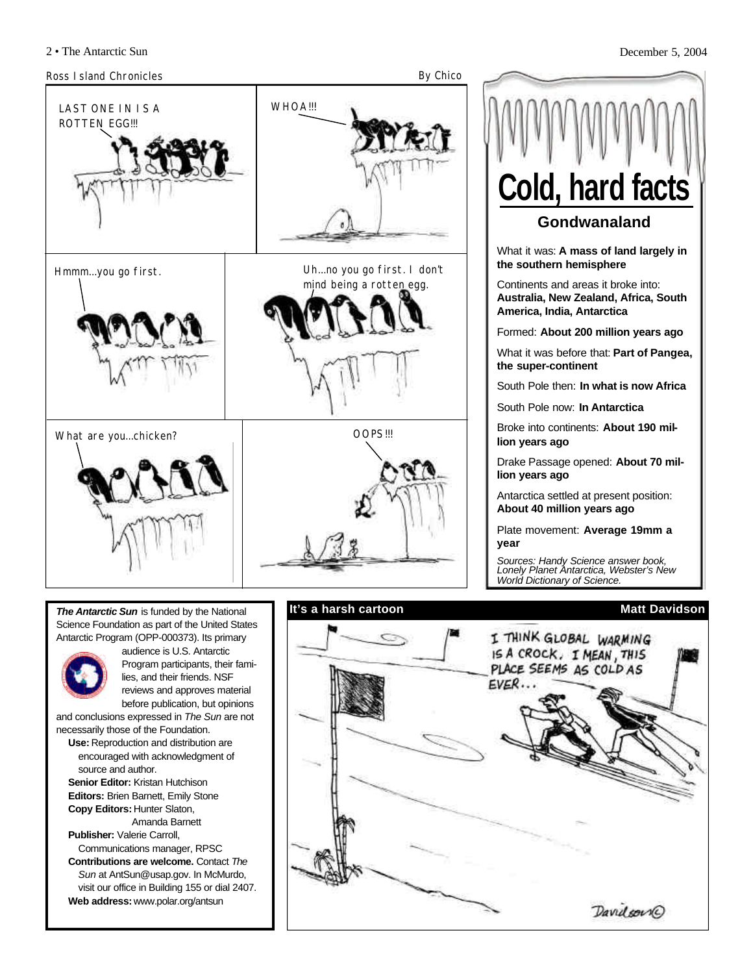

**It's a harsh cartoon**

*The Antarctic Sun* is funded by the National Science Foundation as part of the United States Antarctic Program (OPP-000373). Its primary



audience is U.S. Antarctic Program participants, their families, and their friends. NSF reviews and approves material before publication, but opinions

and conclusions expressed in *The Sun* are not necessarily those of the Foundation.

**Use:** Reproduction and distribution are encouraged with acknowledgment of source and author.

**Senior Editor:** Kristan Hutchison **Editors:** Brien Barnett, Emily Stone **Copy Editors:** Hunter Slaton, Amanda Barnett

**Publisher:** Valerie Carroll, Communications manager, RPSC

**Contributions are welcome.** Contact *The Sun* at AntSun@usap.gov. In McMurdo, visit our office in Building 155 or dial 2407. **Web address:** www.polar.org/antsun

2 • The Antarctic Sun December 5, 2004 **Matt Davidson Gondwanaland** What it was: **A mass of land largely in the southern hemisphere** Continents and areas it broke into: **Australia, New Zealand, Africa, South America, India, Antarctica**  Formed: **About 200 million years ago** What it was before that: **Part of Pangea, the super-continent** South Pole then: **In what is now Africa** South Pole now: **In Antarctica** Broke into continents: **About 190 million years ago** Drake Passage opened: **About 70 million years ago** Antarctica settled at present position: **About 40 million years ago** Plate movement: **Average 19mm a year** *Sources: Handy Science answer book, Lonely Planet Antarctica, Webster's New World Dictionary of Science.* **Cold, hard facts**

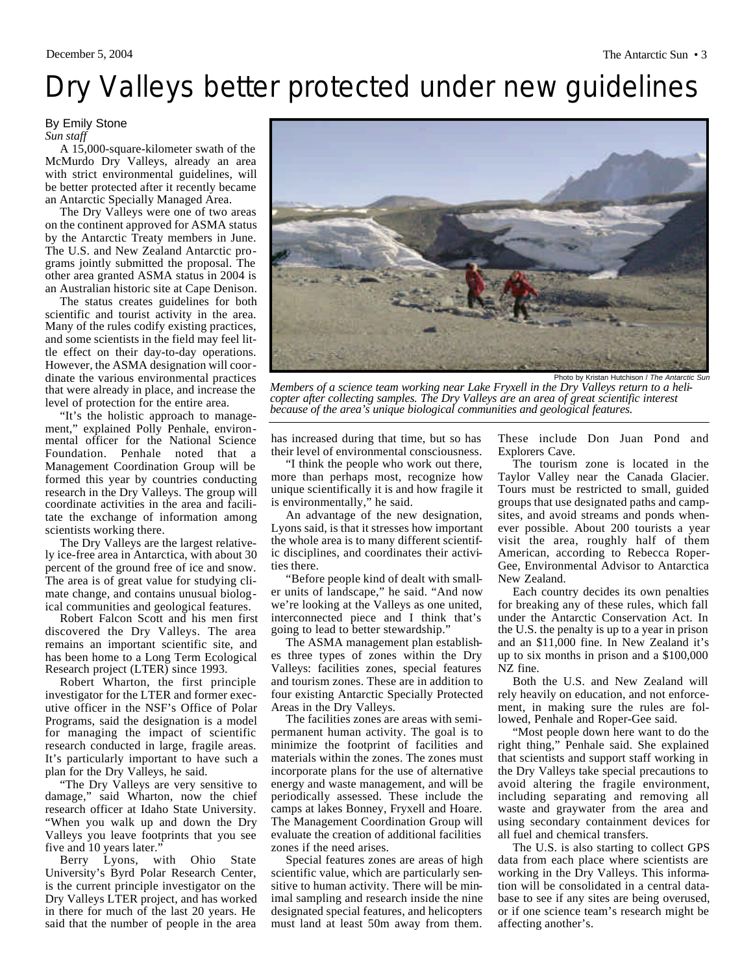# Dry Valleys better protected under new guidelines

#### By Emily Stone *Sun staff*

A 15,000-square-kilometer swath of the McMurdo Dry Valleys, already an area with strict environmental guidelines, will be better protected after it recently became an Antarctic Specially Managed Area.

The Dry Valleys were one of two areas on the continent approved for ASMA status by the Antarctic Treaty members in June. The U.S. and New Zealand Antarctic programs jointly submitted the proposal. The other area granted ASMA status in 2004 is an Australian historic site at Cape Denison.

The status creates guidelines for both scientific and tourist activity in the area. Many of the rules codify existing practices, and some scientists in the field may feel little effect on their day-to-day operations. However, the ASMA designation will coordinate the various environmental practices that were already in place, and increase the level of protection for the entire area.

"It's the holistic approach to management," explained Polly Penhale, environmental officer for the National Science Foundation. Penhale noted that a Management Coordination Group will be formed this year by countries conducting research in the Dry Valleys. The group will coordinate activities in the area and facilitate the exchange of information among scientists working there.

The Dry Valleys are the largest relatively ice-free area in Antarctica, with about 30 percent of the ground free of ice and snow. The area is of great value for studying climate change, and contains unusual biological communities and geological features.

Robert Falcon Scott and his men first discovered the Dry Valleys. The area remains an important scientific site, and has been home to a Long Term Ecological Research project (LTER) since 1993.

Robert Wharton, the first principle investigator for the LTER and former executive officer in the NSF's Office of Polar Programs, said the designation is a model for managing the impact of scientific research conducted in large, fragile areas. It's particularly important to have such a plan for the Dry Valleys, he said.

"The Dry Valleys are very sensitive to damage," said Wharton, now the chief research officer at Idaho State University. "When you walk up and down the Dry Valleys you leave footprints that you see five and 10 years later.'

Berry Lyons, with Ohio State University's Byrd Polar Research Center, is the current principle investigator on the Dry Valleys LTER project, and has worked in there for much of the last 20 years. He said that the number of people in the area



Photo by Kristan Hutchison / The Antarctic

*Members of a science team working near Lake Fryxell in the Dry Valleys return to a helicopter after collecting samples. The Dry Valleys are an area of great scientific interest because of the area's unique biological communities and geological features.*

has increased during that time, but so has their level of environmental consciousness.

"I think the people who work out there, more than perhaps most, recognize how unique scientifically it is and how fragile it is environmentally," he said.

An advantage of the new designation, Lyons said, is that it stresses how important the whole area is to many different scientific disciplines, and coordinates their activities there.

"Before people kind of dealt with smaller units of landscape," he said. "And now we're looking at the Valleys as one united, interconnected piece and I think that's going to lead to better stewardship."

The ASMA management plan establishes three types of zones within the Dry Valleys: facilities zones, special features and tourism zones. These are in addition to four existing Antarctic Specially Protected Areas in the Dry Valleys.

The facilities zones are areas with semipermanent human activity. The goal is to minimize the footprint of facilities and materials within the zones. The zones must incorporate plans for the use of alternative energy and waste management, and will be periodically assessed. These include the camps at lakes Bonney, Fryxell and Hoare. The Management Coordination Group will evaluate the creation of additional facilities zones if the need arises.

Special features zones are areas of high scientific value, which are particularly sensitive to human activity. There will be minimal sampling and research inside the nine designated special features, and helicopters must land at least 50m away from them. These include Don Juan Pond and Explorers Cave.

The tourism zone is located in the Taylor Valley near the Canada Glacier. Tours must be restricted to small, guided groups that use designated paths and campsites, and avoid streams and ponds whenever possible. About 200 tourists a year visit the area, roughly half of them American, according to Rebecca Roper-Gee, Environmental Advisor to Antarctica New Zealand.

Each country decides its own penalties for breaking any of these rules, which fall under the Antarctic Conservation Act. In the U.S. the penalty is up to a year in prison and an \$11,000 fine. In New Zealand it's up to six months in prison and a \$100,000 NZ fine.

Both the U.S. and New Zealand will rely heavily on education, and not enforcement, in making sure the rules are followed, Penhale and Roper-Gee said.

"Most people down here want to do the right thing," Penhale said. She explained that scientists and support staff working in the Dry Valleys take special precautions to avoid altering the fragile environment, including separating and removing all waste and graywater from the area and using secondary containment devices for all fuel and chemical transfers.

The U.S. is also starting to collect GPS data from each place where scientists are working in the Dry Valleys. This information will be consolidated in a central database to see if any sites are being overused, or if one science team's research might be affecting another's.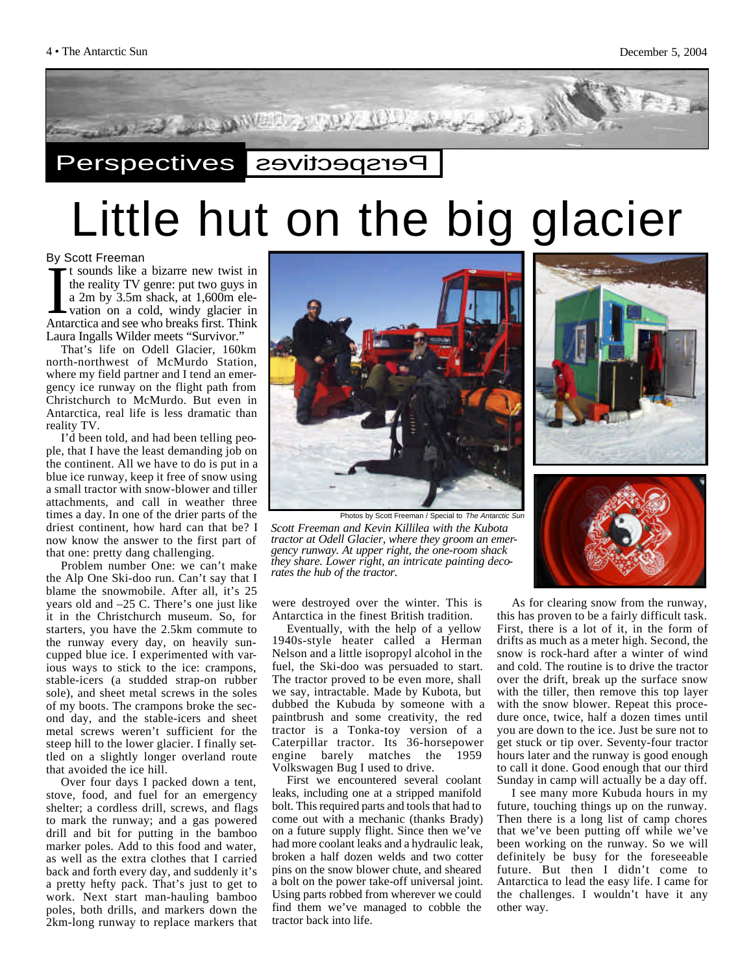

# Little hut on the big glacier

By Scott Freeman

If sounds like a bizarre new twist in<br>the reality TV genre: put two guys in<br>a 2m by 3.5m shack, at 1,600m ele-<br>vation on a cold, windy glacier in<br>Antarctica and see who breaks first. Think t sounds like a bizarre new twist in the reality TV genre: put two guys in a 2m by 3.5m shack, at 1,600m elevation on a cold, windy glacier in Laura Ingalls Wilder meets "Survivor."

That's life on Odell Glacier, 160km north-northwest of McMurdo Station, where my field partner and I tend an emergency ice runway on the flight path from Christchurch to McMurdo. But even in Antarctica, real life is less dramatic than reality TV.

I'd been told, and had been telling people, that I have the least demanding job on the continent. All we have to do is put in a blue ice runway, keep it free of snow using a small tractor with snow-blower and tiller attachments, and call in weather three times a day. In one of the drier parts of the driest continent, how hard can that be? I now know the answer to the first part of that one: pretty dang challenging.

Problem number One: we can't make the Alp One Ski-doo run. Can't say that I blame the snowmobile. After all, it's 25 years old and –25 C. There's one just like it in the Christchurch museum. So, for starters, you have the 2.5km commute to the runway every day, on heavily suncupped blue ice. I experimented with various ways to stick to the ice: crampons, stable-icers (a studded strap-on rubber sole), and sheet metal screws in the soles of my boots. The crampons broke the second day, and the stable-icers and sheet metal screws weren't sufficient for the steep hill to the lower glacier. I finally settled on a slightly longer overland route that avoided the ice hill.

Over four days I packed down a tent, stove, food, and fuel for an emergency shelter; a cordless drill, screws, and flags to mark the runway; and a gas powered drill and bit for putting in the bamboo marker poles. Add to this food and water, as well as the extra clothes that I carried back and forth every day, and suddenly it's a pretty hefty pack. That's just to get to work. Next start man-hauling bamboo poles, both drills, and markers down the 2km-long runway to replace markers that



*Scott Freeman and Kevin Killilea with the Kubota tractor at Odell Glacier, where they groom an emergency runway. At upper right, the one-room shack they share. Lower right, an intricate painting decorates the hub of the tractor.* Photos by Scott Freeman / Special to *The Antarctic Sun*

were destroyed over the winter. This is Antarctica in the finest British tradition.

Eventually, with the help of a yellow 1940s-style heater called a Herman Nelson and a little isopropyl alcohol in the fuel, the Ski-doo was persuaded to start. The tractor proved to be even more, shall we say, intractable. Made by Kubota, but dubbed the Kubuda by someone with a paintbrush and some creativity, the red tractor is a Tonka-toy version of a Caterpillar tractor. Its 36-horsepower engine barely matches the 1959 Volkswagen Bug I used to drive.

First we encountered several coolant leaks, including one at a stripped manifold bolt. This required parts and tools that had to come out with a mechanic (thanks Brady) on a future supply flight. Since then we've had more coolant leaks and a hydraulic leak, broken a half dozen welds and two cotter pins on the snow blower chute, and sheared a bolt on the power take-off universal joint. Using parts robbed from wherever we could find them we've managed to cobble the tractor back into life.

As for clearing snow from the runway, this has proven to be a fairly difficult task. First, there is a lot of it, in the form of drifts as much as a meter high. Second, the snow is rock-hard after a winter of wind and cold. The routine is to drive the tractor over the drift, break up the surface snow with the tiller, then remove this top layer with the snow blower. Repeat this procedure once, twice, half a dozen times until you are down to the ice. Just be sure not to get stuck or tip over. Seventy-four tractor hours later and the runway is good enough to call it done. Good enough that our third Sunday in camp will actually be a day off.

I see many more Kubuda hours in my future, touching things up on the runway. Then there is a long list of camp chores that we've been putting off while we've been working on the runway. So we will definitely be busy for the foreseeable future. But then I didn't come to Antarctica to lead the easy life. I came for the challenges. I wouldn't have it any other way.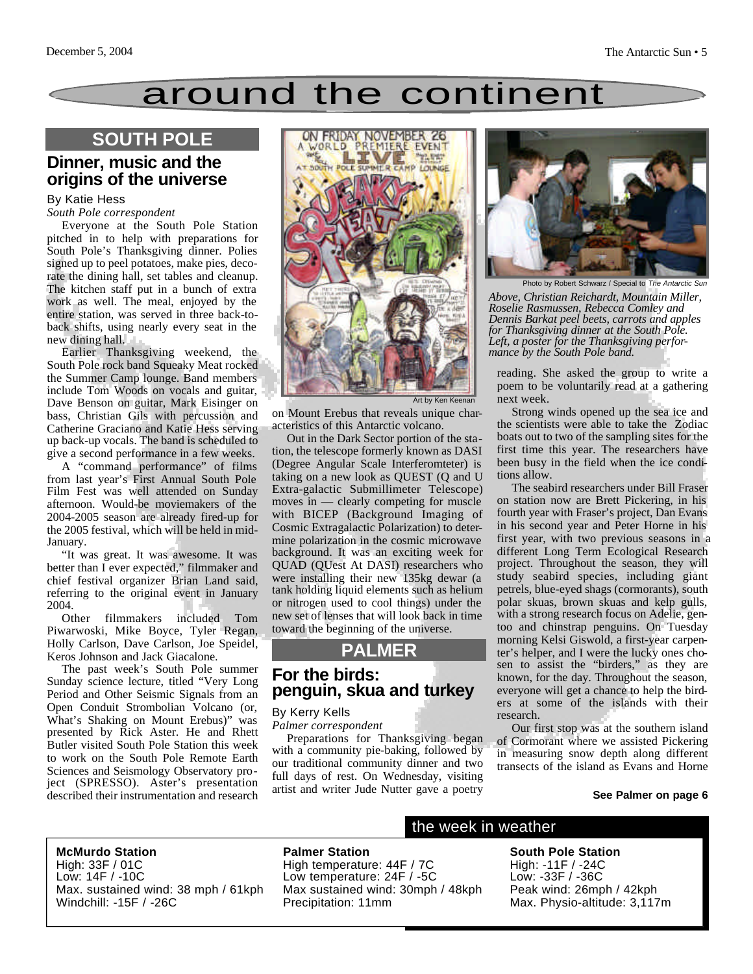# around the continent

## **SOUTH POLE**

## **Dinner, music and the origins of the universe**

### By Katie Hess

#### *South Pole correspondent*

Everyone at the South Pole Station pitched in to help with preparations for South Pole's Thanksgiving dinner. Polies signed up to peel potatoes, make pies, decorate the dining hall, set tables and cleanup. The kitchen staff put in a bunch of extra work as well. The meal, enjoyed by the entire station, was served in three back-toback shifts, using nearly every seat in the new dining hall.

Earlier Thanksgiving weekend, the South Pole rock band Squeaky Meat rocked the Summer Camp lounge. Band members include Tom Woods on vocals and guitar, Dave Benson on guitar, Mark Eisinger on bass, Christian Gils with percussion and Catherine Graciano and Katie Hess serving up back-up vocals. The band is scheduled to give a second performance in a few weeks.

A "command performance" of films from last year's First Annual South Pole Film Fest was well attended on Sunday afternoon. Would-be moviemakers of the 2004-2005 season are already fired-up for the 2005 festival, which will be held in mid-January.

"It was great. It was awesome. It was better than I ever expected," filmmaker and chief festival organizer Brian Land said, referring to the original event in January 2004.

Other filmmakers included Tom Piwarwoski, Mike Boyce, Tyler Regan, Holly Carlson, Dave Carlson, Joe Speidel, Keros Johnson and Jack Giacalone.

The past week's South Pole summer Sunday science lecture, titled "Very Long Period and Other Seismic Signals from an Open Conduit Strombolian Volcano (or, What's Shaking on Mount Erebus)" was presented by Rick Aster. He and Rhett Butler visited South Pole Station this week to work on the South Pole Remote Earth Sciences and Seismology Observatory project (SPRESSO). Aster's presentation described their instrumentation and research



on Mount Erebus that reveals unique characteristics of this Antarctic volcano.

Out in the Dark Sector portion of the station, the telescope formerly known as DASI (Degree Angular Scale Interferomteter) is taking on a new look as QUEST (Q and U Extra-galactic Submillimeter Telescope) moves in — clearly competing for muscle with BICEP (Background Imaging of Cosmic Extragalactic Polarization) to determine polarization in the cosmic microwave background. It was an exciting week for QUAD (QUest At DASI) researchers who were installing their new 135kg dewar (a tank holding liquid elements such as helium or nitrogen used to cool things) under the new set of lenses that will look back in time toward the beginning of the universe.

## **PALMER**

### **For the birds: penguin, skua and turkey**

#### By Kerry Kells

*Palmer correspondent*

Preparations for Thanksgiving began with a community pie-baking, followed by our traditional community dinner and two full days of rest. On Wednesday, visiting artist and writer Jude Nutter gave a poetry



Photo by Robert Schwarz / Special to *The Antarctic Sun*

*Above, Christian Reichardt, Mountain Miller, Roselie Rasmussen, Rebecca Comley and Dennis Barkat peel beets, carrots and apples for Thanksgiving dinner at the South Pole. Left, a poster for the Thanksgiving performance by the South Pole band.*

reading. She asked the group to write a poem to be voluntarily read at a gathering next week.

Strong winds opened up the sea ice and the scientists were able to take the Zodiac boats out to two of the sampling sites for the first time this year. The researchers have been busy in the field when the ice conditions allow.

The seabird researchers under Bill Fraser on station now are Brett Pickering, in his fourth year with Fraser's project, Dan Evans in his second year and Peter Horne in his first year, with two previous seasons in a different Long Term Ecological Research project. Throughout the season, they will study seabird species, including giant petrels, blue-eyed shags (cormorants), south polar skuas, brown skuas and kelp gulls, with a strong research focus on Adelie, gentoo and chinstrap penguins. On Tuesday morning Kelsi Giswold, a first-year carpenter's helper, and I were the lucky ones chosen to assist the "birders," as they are known, for the day. Throughout the season, everyone will get a chance to help the birders at some of the islands with their research.

Our first stop was at the southern island of Cormorant where we assisted Pickering in measuring snow depth along different transects of the island as Evans and Horne

#### **See Palmer on page 6**

#### **McMurdo Station**

High: 33F / 01C Low: 14F / -10C Max. sustained wind: 38 mph / 61kph Windchill: -15F / -26C

**Palmer Station** High temperature: 44F / 7C Low temperature: 24F / -5C Max sustained wind: 30mph / 48kph Precipitation: 11mm

### the week in weather

**South Pole Station** High: -11F / -24C Low: -33F / -36C Peak wind: 26mph / 42kph Max. Physio-altitude: 3,117m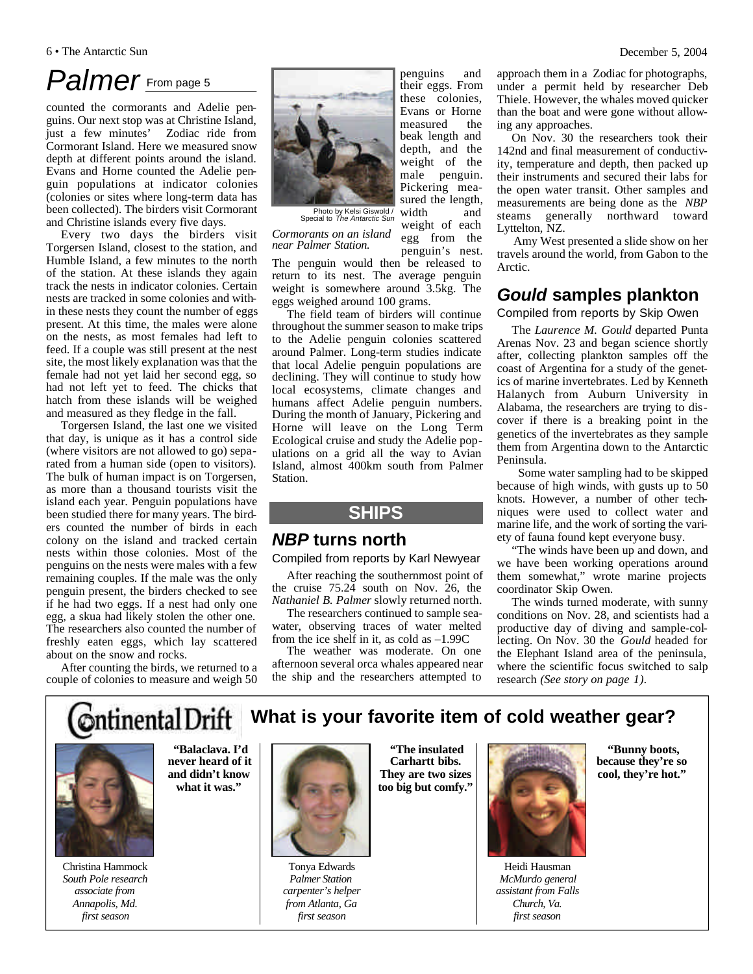#### 6 • The Antarctic Sun December 5, 2004

# Palmer<sub>From page 5</sub>

counted the cormorants and Adelie penguins. Our next stop was at Christine Island, just a few minutes' Zodiac ride from Cormorant Island. Here we measured snow depth at different points around the island. Evans and Horne counted the Adelie penguin populations at indicator colonies (colonies or sites where long-term data has been collected). The birders visit Cormorant and Christine islands every five days.

Every two days the birders visit Torgersen Island, closest to the station, and Humble Island, a few minutes to the north of the station. At these islands they again track the nests in indicator colonies. Certain nests are tracked in some colonies and within these nests they count the number of eggs present. At this time, the males were alone on the nests, as most females had left to feed. If a couple was still present at the nest site, the most likely explanation was that the female had not yet laid her second egg, so had not left yet to feed. The chicks that hatch from these islands will be weighed and measured as they fledge in the fall.

Torgersen Island, the last one we visited that day, is unique as it has a control side (where visitors are not allowed to go) separated from a human side (open to visitors). The bulk of human impact is on Torgersen, as more than a thousand tourists visit the island each year. Penguin populations have been studied there for many years. The birders counted the number of birds in each colony on the island and tracked certain nests within those colonies. Most of the penguins on the nests were males with a few remaining couples. If the male was the only penguin present, the birders checked to see if he had two eggs. If a nest had only one egg, a skua had likely stolen the other one. The researchers also counted the number of freshly eaten eggs, which lay scattered about on the snow and rocks.

After counting the birds, we returned to a couple of colonies to measure and weigh 50



Photo by Kelsi Giswold / Special to *The Antarctic Sun*

*Cormorants on an island near Palmer Station.*

penguin's nest. The penguin would then be released to return to its nest. The average penguin weight is somewhere around 3.5kg. The eggs weighed around 100 grams.

penguins and their eggs. From these colonies, Evans or Horne measured the beak length and depth, and the weight of the male penguin. Pickering measured the length,

weight of each egg from the

The field team of birders will continue throughout the summer season to make trips to the Adelie penguin colonies scattered around Palmer. Long-term studies indicate that local Adelie penguin populations are declining. They will continue to study how local ecosystems, climate changes and humans affect Adelie penguin numbers. During the month of January, Pickering and Horne will leave on the Long Term Ecological cruise and study the Adelie populations on a grid all the way to Avian Island, almost 400km south from Palmer **Station** 

## **SHIPS**

### *NBP* **turns north**

#### Compiled from reports by Karl Newyear

After reaching the southernmost point of the cruise 75.24 south on Nov. 26, the *Nathaniel B. Palmer* slowly returned north.

The researchers continued to sample seawater, observing traces of water melted from the ice shelf in it, as cold as –1.99C

The weather was moderate. On one afternoon several orca whales appeared near the ship and the researchers attempted to

approach them in a Zodiac for photographs, under a permit held by researcher Deb Thiele. However, the whales moved quicker than the boat and were gone without allowing any approaches.

On Nov. 30 the researchers took their 142nd and final measurement of conductivity, temperature and depth, then packed up their instruments and secured their labs for the open water transit. Other samples and measurements are being done as the *NBP* steams generally northward toward Lyttelton, NZ.

Amy West presented a slide show on her travels around the world, from Gabon to the Arctic.

## *Gould* **samples plankton**

#### Compiled from reports by Skip Owen

The *Laurence M. Gould* departed Punta Arenas Nov. 23 and began science shortly after, collecting plankton samples off the coast of Argentina for a study of the genetics of marine invertebrates. Led by Kenneth Halanych from Auburn University in Alabama, the researchers are trying to discover if there is a breaking point in the genetics of the invertebrates as they sample them from Argentina down to the Antarctic Peninsula.

Some water sampling had to be skipped because of high winds, with gusts up to 50 knots. However, a number of other techniques were used to collect water and marine life, and the work of sorting the variety of fauna found kept everyone busy.

"The winds have been up and down, and we have been working operations around them somewhat," wrote marine projects coordinator Skip Owen.

The winds turned moderate, with sunny conditions on Nov. 28, and scientists had a productive day of diving and sample-collecting. On Nov. 30 the *Gould* headed for the Elephant Island area of the peninsula, where the scientific focus switched to salp research *(See story on page 1).*

**Ontinental Drift What is your favorite item of cold weather gear?**



Christina Hammock *South Pole research associate from Annapolis, Md. first season*

**"Balaclava. I'd never heard of it and didn't know what it was."** 



Tonya Edwards *Palmer Station carpenter's helper from Atlanta, Ga first season*

**"The insulated Carhartt bibs. They are two sizes too big but comfy."** 



Heidi Hausman *McMurdo general assistant from Falls Church, Va. first season*

**"Bunny boots, because they're so cool, they're hot."**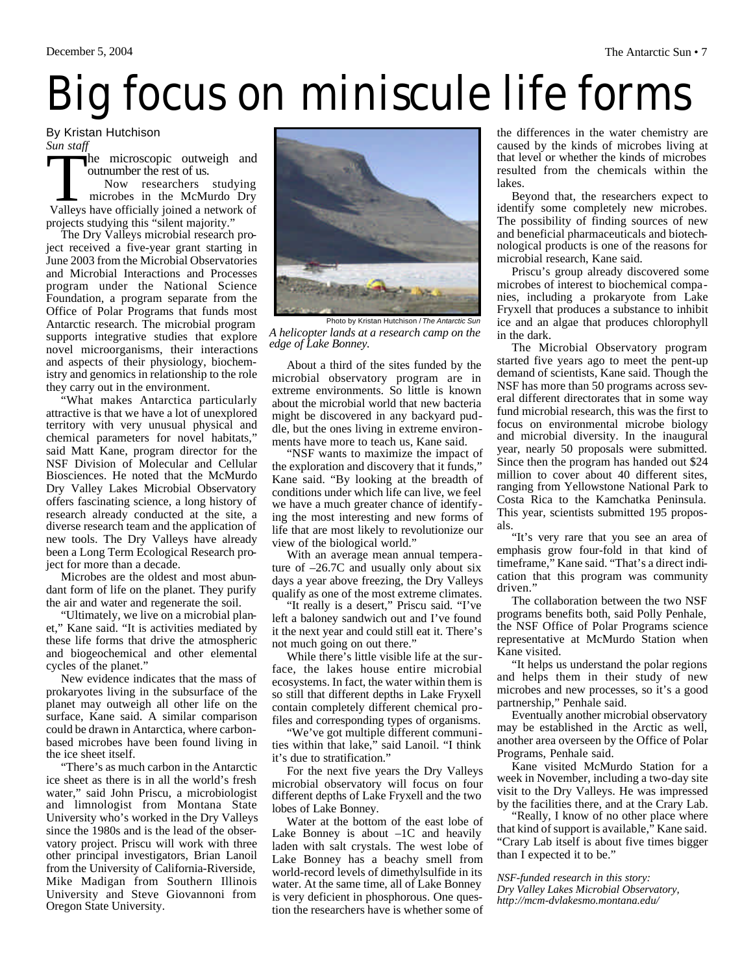# Big focus on miniscule life forms

By Kristan Hutchison *Sun staff*

Surf Staff<br>he microscopic outweigh and<br>outnumber the rest of us.<br>Now researchers studying<br>microbes in the McMurdo Dry<br>Valleys have officially joined a network of he microscopic outweigh and outnumber the rest of us. projects studying this "silent majority." Now researchers studying microbes in the McMurdo Dry

The Dry Valleys microbial research project received a five-year grant starting in June 2003 from the Microbial Observatories and Microbial Interactions and Processes program under the National Science Foundation, a program separate from the Office of Polar Programs that funds most Antarctic research. The microbial program supports integrative studies that explore novel microorganisms, their interactions and aspects of their physiology, biochemistry and genomics in relationship to the role they carry out in the environment.

"What makes Antarctica particularly attractive is that we have a lot of unexplored territory with very unusual physical and chemical parameters for novel habitats," said Matt Kane, program director for the NSF Division of Molecular and Cellular Biosciences. He noted that the McMurdo Dry Valley Lakes Microbial Observatory offers fascinating science, a long history of research already conducted at the site, a diverse research team and the application of new tools. The Dry Valleys have already been a Long Term Ecological Research project for more than a decade.

Microbes are the oldest and most abundant form of life on the planet. They purify the air and water and regenerate the soil.

"Ultimately, we live on a microbial planet," Kane said. "It is activities mediated by these life forms that drive the atmospheric and biogeochemical and other elemental cycles of the planet."

New evidence indicates that the mass of prokaryotes living in the subsurface of the planet may outweigh all other life on the surface, Kane said. A similar comparison could be drawn in Antarctica, where carbonbased microbes have been found living in the ice sheet itself.

"There's as much carbon in the Antarctic ice sheet as there is in all the world's fresh water," said John Priscu, a microbiologist and limnologist from Montana State University who's worked in the Dry Valleys since the 1980s and is the lead of the observatory project. Priscu will work with three other principal investigators, Brian Lanoil from the University of California-Riverside, Mike Madigan from Southern Illinois University and Steve Giovannoni from Oregon State University.



Photo by Kristan Hutchison / *The Antarctic Sun A helicopter lands at a research camp on the edge of Lake Bonney.*

About a third of the sites funded by the microbial observatory program are in extreme environments. So little is known about the microbial world that new bacteria might be discovered in any backyard puddle, but the ones living in extreme environments have more to teach us, Kane said.

"NSF wants to maximize the impact of the exploration and discovery that it funds," Kane said. "By looking at the breadth of conditions under which life can live, we feel we have a much greater chance of identifying the most interesting and new forms of life that are most likely to revolutionize our view of the biological world."

With an average mean annual temperature of –26.7C and usually only about six days a year above freezing, the Dry Valleys qualify as one of the most extreme climates.

"It really is a desert," Priscu said. "I've left a baloney sandwich out and I've found it the next year and could still eat it. There's not much going on out there."

While there's little visible life at the surface, the lakes house entire microbial ecosystems. In fact, the water within them is so still that different depths in Lake Fryxell contain completely different chemical profiles and corresponding types of organisms.

"We've got multiple different communities within that lake," said Lanoil. "I think it's due to stratification."

For the next five years the Dry Valleys microbial observatory will focus on four different depths of Lake Fryxell and the two lobes of Lake Bonney.

Water at the bottom of the east lobe of Lake Bonney is about  $-1C$  and heavily laden with salt crystals. The west lobe of Lake Bonney has a beachy smell from world-record levels of dimethylsulfide in its water. At the same time, all of Lake Bonney is very deficient in phosphorous. One question the researchers have is whether some of the differences in the water chemistry are caused by the kinds of microbes living at that level or whether the kinds of microbes resulted from the chemicals within the lakes.

Beyond that, the researchers expect to identify some completely new microbes. The possibility of finding sources of new and beneficial pharmaceuticals and biotechnological products is one of the reasons for microbial research, Kane said.

Priscu's group already discovered some microbes of interest to biochemical companies, including a prokaryote from Lake Fryxell that produces a substance to inhibit ice and an algae that produces chlorophyll in the dark.

The Microbial Observatory program started five years ago to meet the pent-up demand of scientists, Kane said. Though the NSF has more than 50 programs across several different directorates that in some way fund microbial research, this was the first to focus on environmental microbe biology and microbial diversity. In the inaugural year, nearly 50 proposals were submitted. Since then the program has handed out \$24 million to cover about 40 different sites, ranging from Yellowstone National Park to Costa Rica to the Kamchatka Peninsula. This year, scientists submitted 195 proposals.

"It's very rare that you see an area of emphasis grow four-fold in that kind of timeframe," Kane said. "That's a direct indication that this program was community driven."

The collaboration between the two NSF programs benefits both, said Polly Penhale, the NSF Office of Polar Programs science representative at McMurdo Station when Kane visited.

"It helps us understand the polar regions and helps them in their study of new microbes and new processes, so it's a good partnership," Penhale said.

Eventually another microbial observatory may be established in the Arctic as well, another area overseen by the Office of Polar Programs, Penhale said.

Kane visited McMurdo Station for a week in November, including a two-day site visit to the Dry Valleys. He was impressed by the facilities there, and at the Crary Lab.

"Really, I know of no other place where that kind of support is available," Kane said. "Crary Lab itself is about five times bigger than I expected it to be."

*NSF-funded research in this story: Dry Valley Lakes Microbial Observatory, http://mcm-dvlakesmo.montana.edu/*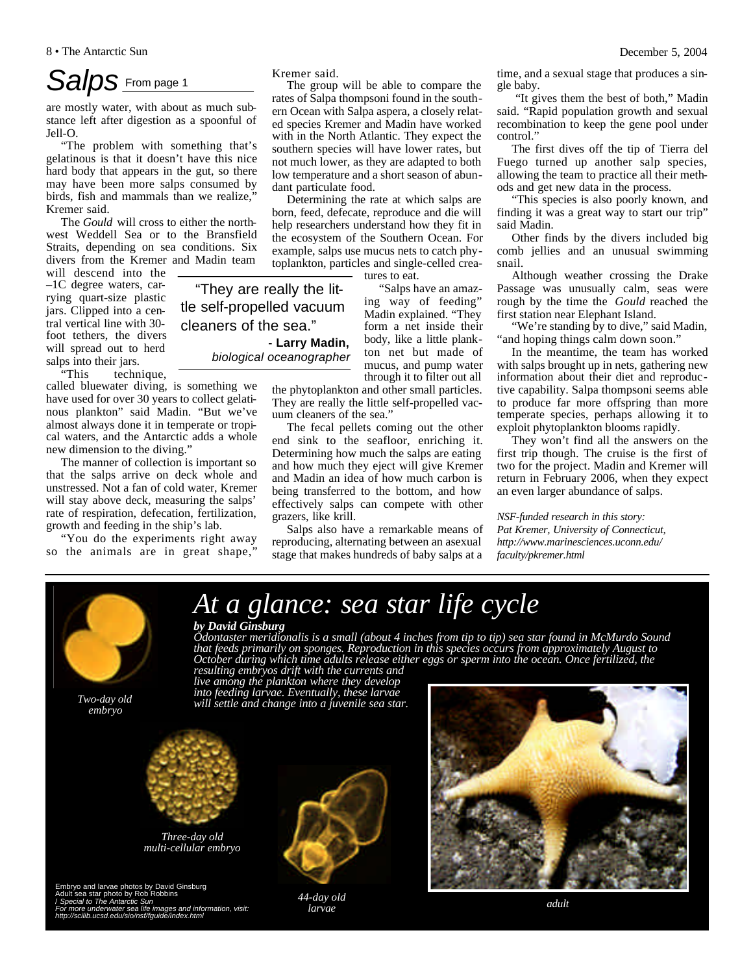# *Salps* From page 1

are mostly water, with about as much substance left after digestion as a spoonful of Jell-O.

"The problem with something that's gelatinous is that it doesn't have this nice hard body that appears in the gut, so there may have been more salps consumed by birds, fish and mammals than we realize, Kremer said.

The *Gould* will cross to either the northwest Weddell Sea or to the Bransfield Straits, depending on sea conditions. Six divers from the Kremer and Madin team

will descend into the –1C degree waters, carrying quart-size plastic jars. Clipped into a central vertical line with 30 foot tethers, the divers will spread out to herd salps into their jars.<br>
"This techn

technique, called bluewater diving, is something we

have used for over 30 years to collect gelatinous plankton" said Madin. "But we've almost always done it in temperate or tropical waters, and the Antarctic adds a whole new dimension to the diving."

The manner of collection is important so that the salps arrive on deck whole and unstressed. Not a fan of cold water, Kremer will stay above deck, measuring the salps' rate of respiration, defecation, fertilization, growth and feeding in the ship's lab.

"You do the experiments right away so the animals are in great shape,

Kremer said.

"They are really the little self-propelled vacuum cleaners of the sea."

*biological oceanographer*

**- Larry Madin,** 

The group will be able to compare the rates of Salpa thompsoni found in the southern Ocean with Salpa aspera, a closely related species Kremer and Madin have worked with in the North Atlantic. They expect the southern species will have lower rates, but not much lower, as they are adapted to both low temperature and a short season of abundant particulate food.

Determining the rate at which salps are born, feed, defecate, reproduce and die will help researchers understand how they fit in the ecosystem of the Southern Ocean. For example, salps use mucus nets to catch phytoplankton, particles and single-celled crea-

tures to eat.

"Salps have an amazing way of feeding" Madin explained. "They form a net inside their body, like a little plankton net but made of mucus, and pump water through it to filter out all

the phytoplankton and other small particles. They are really the little self-propelled vacuum cleaners of the sea.'

The fecal pellets coming out the other end sink to the seafloor, enriching it. Determining how much the salps are eating and how much they eject will give Kremer and Madin an idea of how much carbon is being transferred to the bottom, and how effectively salps can compete with other grazers, like krill.

Salps also have a remarkable means of reproducing, alternating between an asexual stage that makes hundreds of baby salps at a time, and a sexual stage that produces a single baby.

"It gives them the best of both," Madin said. "Rapid population growth and sexual recombination to keep the gene pool under control."

The first dives off the tip of Tierra del Fuego turned up another salp species, allowing the team to practice all their methods and get new data in the process.

"This species is also poorly known, and finding it was a great way to start our trip" said Madin.

Other finds by the divers included big comb jellies and an unusual swimming snail.

Although weather crossing the Drake Passage was unusually calm, seas were rough by the time the *Gould* reached the first station near Elephant Island.

"We're standing by to dive," said Madin, "and hoping things calm down soon."

In the meantime, the team has worked with salps brought up in nets, gathering new information about their diet and reproductive capability. Salpa thompsoni seems able to produce far more offspring than more temperate species, perhaps allowing it to exploit phytoplankton blooms rapidly.

They won't find all the answers on the first trip though. The cruise is the first of two for the project. Madin and Kremer will return in February 2006, when they expect an even larger abundance of salps.

*NSF-funded research in this story: Pat Kremer, University of Connecticut, http://www.marinesciences.uconn.edu/ faculty/pkremer.html*



Embryo and larvae photos by David Ginsburg<br>Adult sea star photo by Rob Robbins<br>/ *Special to The Antarctic Sun<br>For more underwater sea life images and information, visit:<br>http://scilib.ucsd.edu/sio/nsf/fguide/index.html* 

*44-day old larvae adult*

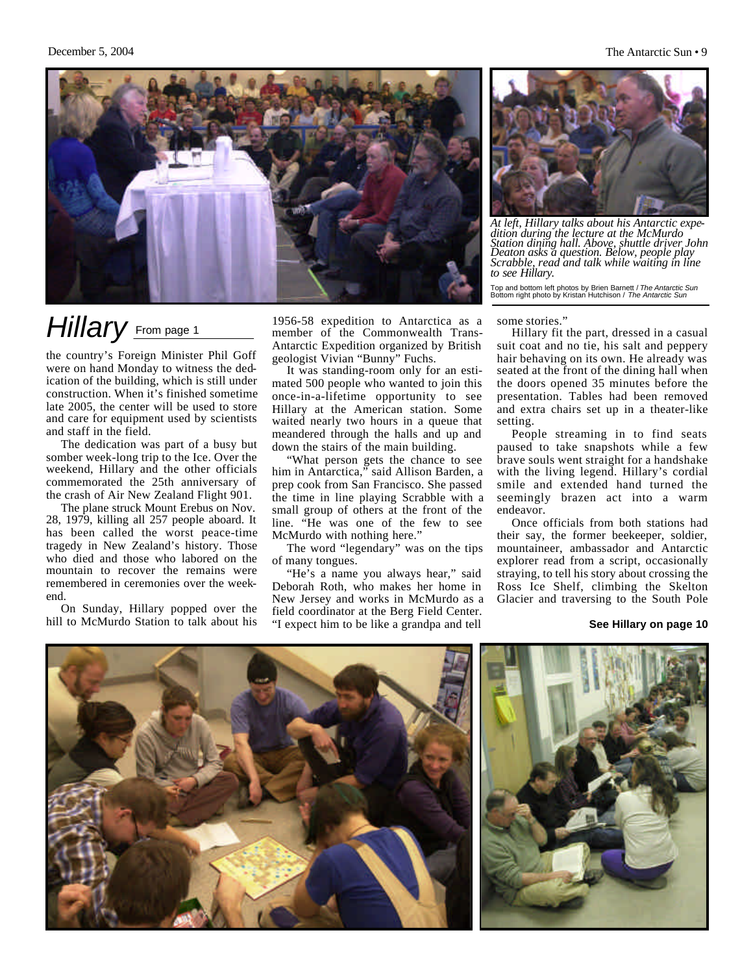

# *Hillary* From page 1

the country's Foreign Minister Phil Goff were on hand Monday to witness the dedication of the building, which is still under construction. When it's finished sometime late 2005, the center will be used to store and care for equipment used by scientists and staff in the field.

The dedication was part of a busy but somber week-long trip to the Ice. Over the weekend, Hillary and the other officials commemorated the 25th anniversary of the crash of Air New Zealand Flight 901.

The plane struck Mount Erebus on Nov. 28, 1979, killing all 257 people aboard. It has been called the worst peace-time tragedy in New Zealand's history. Those who died and those who labored on the mountain to recover the remains were remembered in ceremonies over the weekend.

On Sunday, Hillary popped over the hill to McMurdo Station to talk about his

1956-58 expedition to Antarctica as a member of the Commonwealth Trans-Antarctic Expedition organized by British geologist Vivian "Bunny" Fuchs.

It was standing-room only for an estimated 500 people who wanted to join this once-in-a-lifetime opportunity to see Hillary at the American station. Some waited nearly two hours in a queue that meandered through the halls and up and down the stairs of the main building.

"What person gets the chance to see him in Antarctica," said Allison Barden, a prep cook from San Francisco. She passed the time in line playing Scrabble with a small group of others at the front of the line. "He was one of the few to see McMurdo with nothing here."

The word "legendary" was on the tips of many tongues.

"He's a name you always hear," said Deborah Roth, who makes her home in New Jersey and works in McMurdo as a field coordinator at the Berg Field Center. "I expect him to be like a grandpa and tell



*At left, Hillary talks about his Antarctic expedition during the lecture at the McMurdo Station dining hall. Above, shuttle driver John Deaton asks a question. Below, people play Scrabble, read and talk while waiting in line to see Hillary.*

Top and bottom left photos by Brien Barnett / *The Antarctic Sun* Bottom right photo by Kristan Hutchison / *The Antarctic Sun*

#### some stories."

Hillary fit the part, dressed in a casual suit coat and no tie, his salt and peppery hair behaving on its own. He already was seated at the front of the dining hall when the doors opened 35 minutes before the presentation. Tables had been removed and extra chairs set up in a theater-like setting.

People streaming in to find seats paused to take snapshots while a few brave souls went straight for a handshake with the living legend. Hillary's cordial smile and extended hand turned the seemingly brazen act into a warm endeavor.

Once officials from both stations had their say, the former beekeeper, soldier, mountaineer, ambassador and Antarctic explorer read from a script, occasionally straying, to tell his story about crossing the Ross Ice Shelf, climbing the Skelton Glacier and traversing to the South Pole

#### **See Hillary on page 10**

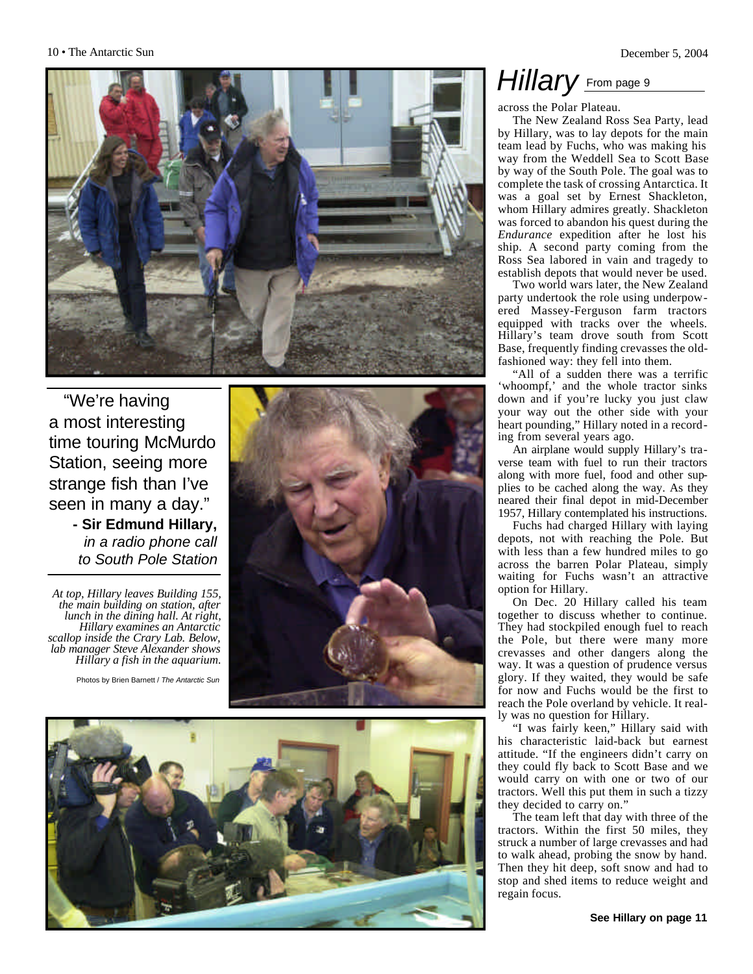

"We're having a most interesting time touring McMurdo Station, seeing more strange fish than I've seen in many a day." **- Sir Edmund Hillary,** 

*in a radio phone call to South Pole Station*

*At top, Hillary leaves Building 155, the main building on station, after lunch in the dining hall. At right, Hillary examines an Antarctic scallop inside the Crary Lab. Below, lab manager Steve Alexander shows Hillary a fish in the aquarium.*







## *Hillary* From page 9

across the Polar Plateau.

The New Zealand Ross Sea Party, lead by Hillary, was to lay depots for the main team lead by Fuchs, who was making his way from the Weddell Sea to Scott Base by way of the South Pole. The goal was to complete the task of crossing Antarctica. It was a goal set by Ernest Shackleton, whom Hillary admires greatly. Shackleton was forced to abandon his quest during the *Endurance* expedition after he lost his ship. A second party coming from the Ross Sea labored in vain and tragedy to establish depots that would never be used.

Two world wars later, the New Zealand party undertook the role using underpow ered Massey-Ferguson farm tractors equipped with tracks over the wheels. Hillary's team drove south from Scott Base, frequently finding crevasses the oldfashioned way: they fell into them.

"All of a sudden there was a terrific 'whoompf,' and the whole tractor sinks down and if you're lucky you just claw your way out the other side with your heart pounding," Hillary noted in a record ing from several years ago.

An airplane would supply Hillary's tra verse team with fuel to run their tractors along with more fuel, food and other supplies to be cached along the way. As they neared their final depot in mid-December 1957, Hillary contemplated his instructions.

Fuchs had charged Hillary with laying depots, not with reaching the Pole. But with less than a few hundred miles to go across the barren Polar Plateau, simply waiting for Fuchs wasn't an attractive option for Hillary.

On Dec. 20 Hillary called his team together to discuss whether to continue. They had stockpiled enough fuel to reach the Pole, but there were many more crevasses and other dangers along the way. It was a question of prudence versus glory. If they waited, they would be safe for now and Fuchs would be the first to reach the Pole overland by vehicle. It real ly was no question for Hillary.

"I was fairly keen," Hillary said with his characteristic laid-back but earnest attitude. "If the engineers didn't carry on they could fly back to Scott Base and we would carry on with one or two of our tractors. Well this put them in such a tizzy they decided to carry on."

The team left that day with three of the tractors. Within the first 50 miles, they struck a number of large crevasses and had to walk ahead, probing the snow by hand. Then they hit deep, soft snow and had to stop and shed items to reduce weight and regain focus.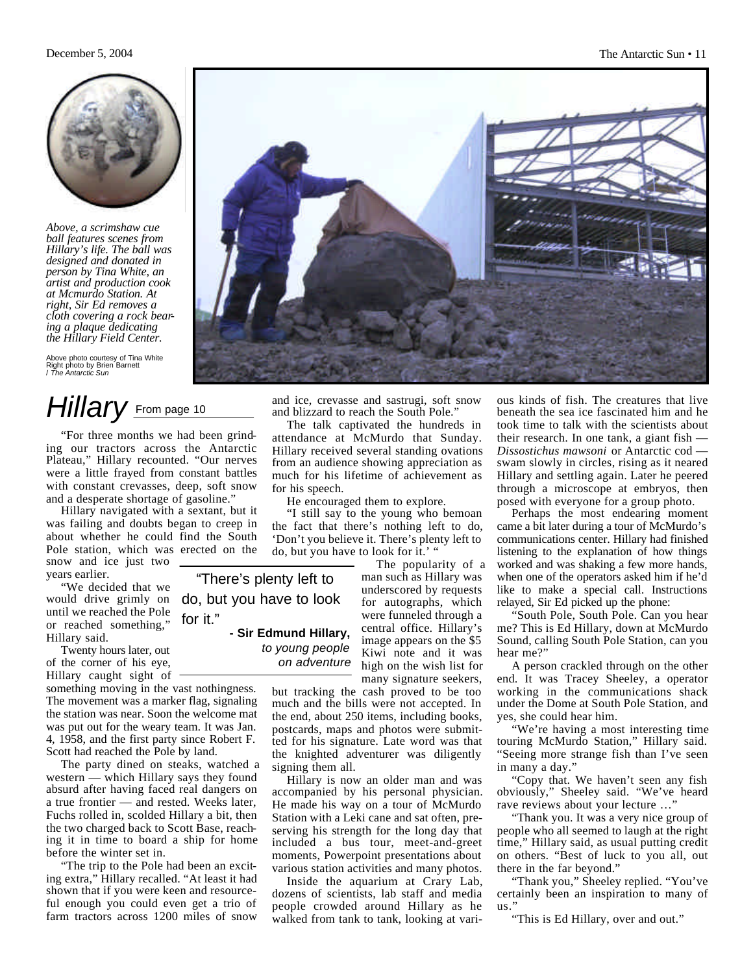

*Above, a scrimshaw cue ball features scenes from Hillary's life. The ball was designed and donated in person by Tina White, an artist and production cook at Mcmurdo Station. At right, Sir Ed removes a cloth covering a rock bearing a plaque dedicating the Hillary Field Center.* 

Above photo courtesy of Tina White Right photo by Brien Barnett / *The Antarctic Sun*

# Hillary From page 10

"For three months we had been grinding our tractors across the Antarctic Plateau," Hillary recounted. "Our nerves were a little frayed from constant battles with constant crevasses, deep, soft snow and a desperate shortage of gasoline."

Hillary navigated with a sextant, but it was failing and doubts began to creep in about whether he could find the South Pole station, which was erected on the snow and ice just two years earlier.

"We decided that we would drive grimly on until we reached the Pole or reached something," Hillary said.

Twenty hours later, out of the corner of his eye, Hillary caught sight of

something moving in the vast nothingness. The movement was a marker flag, signaling the station was near. Soon the welcome mat was put out for the weary team. It was Jan. 4, 1958, and the first party since Robert F. Scott had reached the Pole by land.

for it."

The party dined on steaks, watched a western — which Hillary says they found absurd after having faced real dangers on a true frontier — and rested. Weeks later, Fuchs rolled in, scolded Hillary a bit, then the two charged back to Scott Base, reaching it in time to board a ship for home before the winter set in.

"The trip to the Pole had been an exciting extra," Hillary recalled. "At least it had shown that if you were keen and resourceful enough you could even get a trio of farm tractors across 1200 miles of snow



and ice, crevasse and sastrugi, soft snow and blizzard to reach the South Pole."

The talk captivated the hundreds in attendance at McMurdo that Sunday. Hillary received several standing ovations from an audience showing appreciation as much for his lifetime of achievement as for his speech.

He encouraged them to explore.

"I still say to the young who bemoan the fact that there's nothing left to do, 'Don't you believe it. There's plenty left to do, but you have to look for it.'

The popularity of a man such as Hillary was underscored by requests for autographs, which were funneled through a central office. Hillary's image appears on the \$5 Kiwi note and it was high on the wish list for many signature seekers, "There's plenty left to do, but you have to look **- Sir Edmund Hillary,**  *to young people on adventure*

> but tracking the cash proved to be too much and the bills were not accepted. In the end, about 250 items, including books, postcards, maps and photos were submitted for his signature. Late word was that the knighted adventurer was diligently signing them all.

> Hillary is now an older man and was accompanied by his personal physician. He made his way on a tour of McMurdo Station with a Leki cane and sat often, preserving his strength for the long day that included a bus tour, meet-and-greet moments, Powerpoint presentations about various station activities and many photos.

> Inside the aquarium at Crary Lab, dozens of scientists, lab staff and media people crowded around Hillary as he walked from tank to tank, looking at vari

ous kinds of fish. The creatures that live beneath the sea ice fascinated him and he took time to talk with the scientists about their research. In one tank, a giant fish — *Dissostichus mawsoni* or Antarctic cod swam slowly in circles, rising as it neared Hillary and settling again. Later he peered through a microscope at embryos, then posed with everyone for a group photo.

Perhaps the most endearing moment came a bit later during a tour of McMurdo's communications center. Hillary had finished listening to the explanation of how things worked and was shaking a few more hands, when one of the operators asked him if he'd like to make a special call. Instructions relayed, Sir Ed picked up the phone:

"South Pole, South Pole. Can you hear me? This is Ed Hillary, down at McMurdo Sound, calling South Pole Station, can you hear me?"

A person crackled through on the other end. It was Tracey Sheeley, a operator working in the communications shack under the Dome at South Pole Station, and yes, she could hear him.

"We're having a most interesting time touring McMurdo Station," Hillary said. "Seeing more strange fish than I've seen in many a day."

"Copy that. We haven't seen any fish obviously," Sheeley said. "We've heard rave reviews about your lecture …"

"Thank you. It was a very nice group of people who all seemed to laugh at the right time," Hillary said, as usual putting credit on others. "Best of luck to you all, out there in the far beyond."

"Thank you," Sheeley replied. "You've certainly been an inspiration to many of us."

"This is Ed Hillary, over and out."